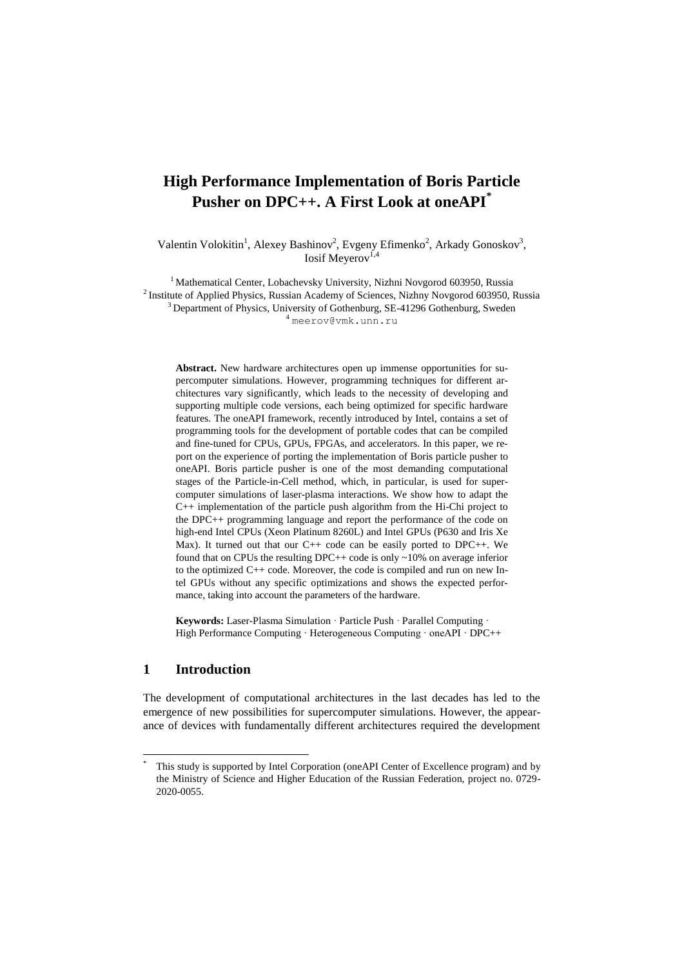# **High Performance Implementation of Boris Particle Pusher on DPC++. A First Look at oneAPI\***

Valentin Volokitin<sup>1</sup>, Alexey Bashinov<sup>2</sup>, Evgeny Efimenko<sup>2</sup>, Arkady Gonoskov<sup>3</sup>, Iosif Meyerov<sup>1,4</sup>

<sup>1</sup> Mathematical Center, Lobachevsky University, Nizhni Novgorod 603950, Russia <sup>2</sup> Institute of Applied Physics, Russian Academy of Sciences, Nizhny Novgorod 603950, Russia <sup>3</sup> Department of Physics, University of Gothenburg, SE-41296 Gothenburg, Sweden <sup>4</sup> [meerov@vmk.unn.ru](mailto: meerov@vmk.unn.ru) 

**Abstract.** New hardware architectures open up immense opportunities for supercomputer simulations. However, programming techniques for different architectures vary significantly, which leads to the necessity of developing and supporting multiple code versions, each being optimized for specific hardware features. The oneAPI framework, recently introduced by Intel, contains a set of programming tools for the development of portable codes that can be compiled and fine-tuned for CPUs, GPUs, FPGAs, and accelerators. In this paper, we report on the experience of porting the implementation of Boris particle pusher to oneAPI. Boris particle pusher is one of the most demanding computational stages of the Particle-in-Cell method, which, in particular, is used for supercomputer simulations of laser-plasma interactions. We show how to adapt the C++ implementation of the particle push algorithm from the Hi-Chi project to the DPC++ programming language and report the performance of the code on high-end Intel CPUs (Xeon Platinum 8260L) and Intel GPUs (P630 and Iris Xe Max). It turned out that our  $C++$  code can be easily ported to DPC $++$ . We found that on CPUs the resulting DPC++ code is only  $\sim$ 10% on average inferior to the optimized C++ code. Moreover, the code is compiled and run on new Intel GPUs without any specific optimizations and shows the expected performance, taking into account the parameters of the hardware.

**Keywords:** Laser-Plasma Simulation · Particle Push · Parallel Computing · High Performance Computing · Heterogeneous Computing · oneAPI · DPC++

## **1 Introduction**

l

The development of computational architectures in the last decades has led to the emergence of new possibilities for supercomputer simulations. However, the appearance of devices with fundamentally different architectures required the development

This study is supported by Intel Corporation (oneAPI Center of Excellence program) and by the Ministry of Science and Higher Education of the Russian Federation, project no. 0729- 2020-0055.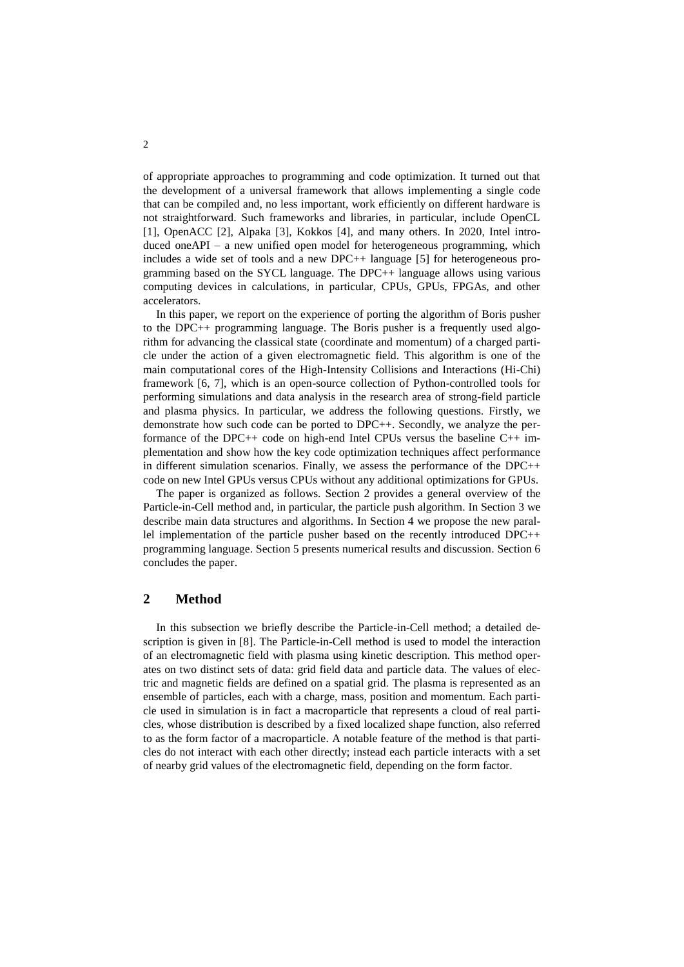of appropriate approaches to programming and code optimization. It turned out that the development of a universal framework that allows implementing a single code that can be compiled and, no less important, work efficiently on different hardware is not straightforward. Such frameworks and libraries, in particular, include OpenCL [1], OpenACC [2], Alpaka [3], Kokkos [4], and many others. In 2020, Intel introduced oneAPI – a new unified open model for heterogeneous programming, which includes a wide set of tools and a new DPC++ language [5] for heterogeneous programming based on the SYCL language. The DPC++ language allows using various computing devices in calculations, in particular, CPUs, GPUs, FPGAs, and other accelerators.

In this paper, we report on the experience of porting the algorithm of Boris pusher to the DPC++ programming language. The Boris pusher is a frequently used algorithm for advancing the classical state (coordinate and momentum) of a charged particle under the action of a given electromagnetic field. This algorithm is one of the main computational cores of the High-Intensity Collisions and Interactions (Hi-Chi) framework [6, 7], which is an open-source collection of Python-controlled tools for performing simulations and data analysis in the research area of strong-field particle and plasma physics. In particular, we address the following questions. Firstly, we demonstrate how such code can be ported to DPC++. Secondly, we analyze the performance of the DPC++ code on high-end Intel CPUs versus the baseline C++ implementation and show how the key code optimization techniques affect performance in different simulation scenarios. Finally, we assess the performance of the DPC++ code on new Intel GPUs versus CPUs without any additional optimizations for GPUs.

The paper is organized as follows. Section 2 provides a general overview of the Particle-in-Cell method and, in particular, the particle push algorithm. In Section 3 we describe main data structures and algorithms. In Section 4 we propose the new parallel implementation of the particle pusher based on the recently introduced DPC++ programming language. Section 5 presents numerical results and discussion. Section 6 concludes the paper.

# **2 Method**

In this subsection we briefly describe the Particle-in-Cell method; a detailed description is given in [8]. The Particle-in-Cell method is used to model the interaction of an electromagnetic field with plasma using kinetic description. This method operates on two distinct sets of data: grid field data and particle data. The values of electric and magnetic fields are defined on a spatial grid. The plasma is represented as an ensemble of particles, each with a charge, mass, position and momentum. Each particle used in simulation is in fact a macroparticle that represents a cloud of real particles, whose distribution is described by a fixed localized shape function, also referred to as the form factor of a macroparticle. A notable feature of the method is that particles do not interact with each other directly; instead each particle interacts with a set of nearby grid values of the electromagnetic field, depending on the form factor.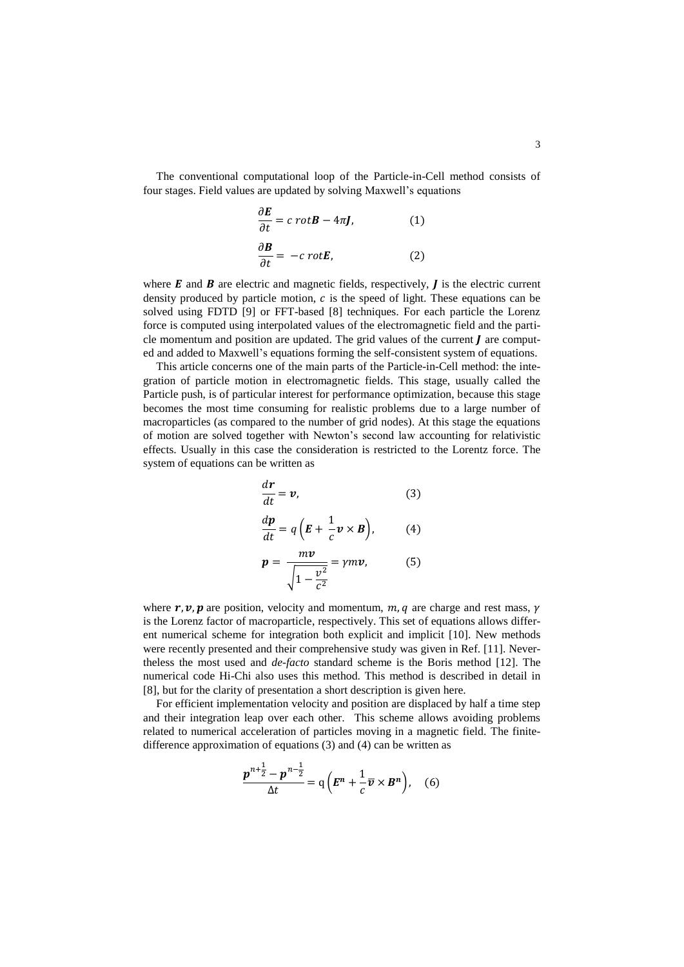The conventional computational loop of the Particle-in-Cell method consists of four stages. Field values are updated by solving Maxwell's equations

$$
\frac{\partial E}{\partial t} = c \, rot \mathbf{B} - 4\pi \mathbf{J},\tag{1}
$$
\n
$$
\frac{\partial \mathbf{B}}{\partial t} = -c \, rot \mathbf{E},\tag{2}
$$

where  $\bf{E}$  and  $\bf{B}$  are electric and magnetic fields, respectively,  $\bf{I}$  is the electric current density produced by particle motion,  $c$  is the speed of light. These equations can be solved using FDTD [9] or FFT-based [8] techniques. For each particle the Lorenz force is computed using interpolated values of the electromagnetic field and the particle momentum and position are updated. The grid values of the current  *are comput*ed and added to Maxwell's equations forming the self-consistent system of equations.

This article concerns one of the main parts of the Particle-in-Cell method: the integration of particle motion in electromagnetic fields. This stage, usually called the Particle push, is of particular interest for performance optimization, because this stage becomes the most time consuming for realistic problems due to a large number of macroparticles (as compared to the number of grid nodes). At this stage the equations of motion are solved together with Newton's second law accounting for relativistic effects. Usually in this case the consideration is restricted to the Lorentz force. The system of equations can be written as

$$
\frac{d\mathbf{r}}{dt} = \mathbf{v},\tag{3}
$$
\n
$$
\frac{d\mathbf{p}}{dt} = q\left(\mathbf{E} + \frac{1}{c}\mathbf{v} \times \mathbf{B}\right),\tag{4}
$$
\n
$$
\mathbf{p} = \frac{m\mathbf{v}}{\sqrt{1 - \frac{v^2}{c^2}}} = \gamma m \mathbf{v},\tag{5}
$$

where  $r, v, p$  are position, velocity and momentum,  $m, q$  are charge and rest mass,  $\gamma$ is the Lorenz factor of macroparticle, respectively. This set of equations allows different numerical scheme for integration both explicit and implicit [10]. New methods were recently presented and their comprehensive study was given in Ref. [11]. Nevertheless the most used and *de-facto* standard scheme is the Boris method [12]. The numerical code Hi-Chi also uses this method. This method is described in detail in [8], but for the clarity of presentation a short description is given here.

For efficient implementation velocity and position are displaced by half a time step and their integration leap over each other. This scheme allows avoiding problems related to numerical acceleration of particles moving in a magnetic field. The finitedifference approximation of equations (3) and (4) can be written as

$$
\frac{\boldsymbol{p}^{n+\frac{1}{2}} - \boldsymbol{p}^{n-\frac{1}{2}}}{\Delta t} = q\left(\boldsymbol{E}^n + \frac{1}{c}\overline{\boldsymbol{v}} \times \boldsymbol{B}^n\right), \quad (6)
$$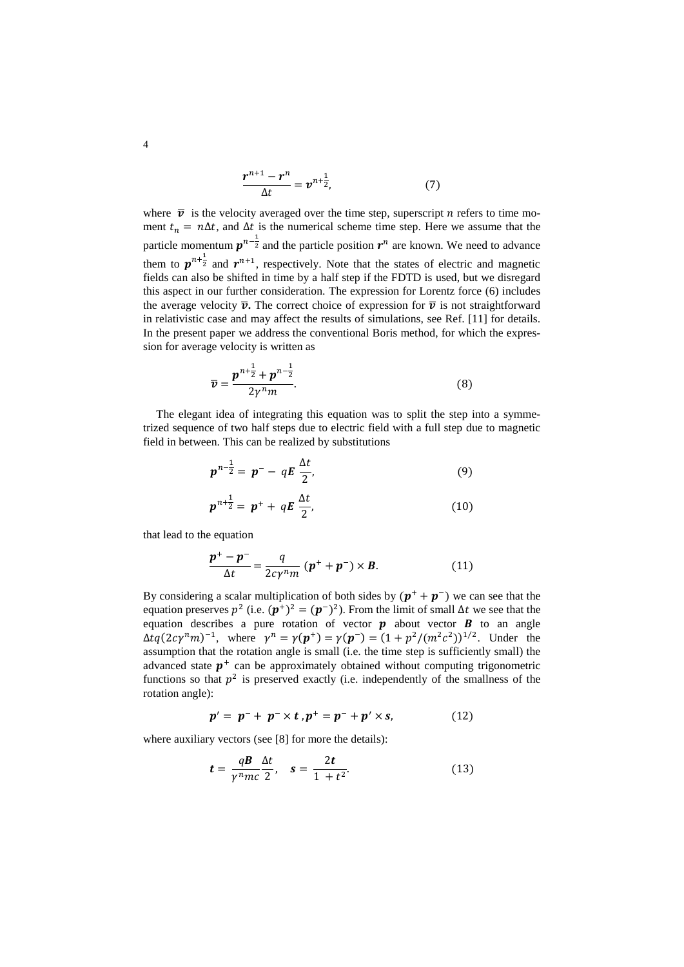$$
\frac{r^{n+1} - r^n}{\Delta t} = v^{n + \frac{1}{2}},
$$
 (7)

where  $\bar{v}$  is the velocity averaged over the time step, superscript *n* refers to time moment  $t_n = n\Delta t$ , and  $\Delta t$  is the numerical scheme time step. Here we assume that the particle momentum  $p^{n-\frac{1}{2}}$  and the particle position  $r^n$  are known. We need to advance them to  $p^{n+\frac{1}{2}}$  and  $r^{n+1}$ , respectively. Note that the states of electric and magnetic fields can also be shifted in time by a half step if the FDTD is used, but we disregard this aspect in our further consideration. The expression for Lorentz force (6) includes the average velocity  $\bar{v}$ . The correct choice of expression for  $\bar{v}$  is not straightforward in relativistic case and may affect the results of simulations, see Ref. [11] for details. In the present paper we address the conventional Boris method, for which the expression for average velocity is written as

$$
\overline{v} = \frac{p^{n+\frac{1}{2}} + p^{n-\frac{1}{2}}}{2\gamma^n m}.
$$
\n(8)

The elegant idea of integrating this equation was to split the step into a symmetrized sequence of two half steps due to electric field with a full step due to magnetic field in between. This can be realized by substitutions

$$
p^{n-\frac{1}{2}} = p^- - qE \frac{\Delta t}{2}, \qquad (9)
$$

$$
p^{n+\frac{1}{2}} = p^+ + qE \frac{\Delta t}{2}, \qquad (10)
$$

that lead to the equation

$$
\frac{p^+ - p^-}{\Delta t} = \frac{q}{2c\gamma^n m} \left( p^+ + p^- \right) \times B. \tag{11}
$$

By considering a scalar multiplication of both sides by  $(p^+ + p^-)$  we can see that the equation preserves  $p^2$  (i.e.  $(p^+)^2 = (p^-)^2$ ). From the limit of small  $\Delta t$  we see that the equation describes a pure rotation of vector  $\boldsymbol{p}$  about vector  $\boldsymbol{B}$  to an angle  $\Delta t q (2c\gamma^n m)^{-1}$ , where  $\gamma^n = \gamma(p^+) = \gamma(p^-) = (1 + p^2/(m^2 c^2))^{1/2}$ . Under the assumption that the rotation angle is small (i.e. the time step is sufficiently small) the advanced state  $p^{+}$  can be approximately obtained without computing trigonometric functions so that  $p^2$  is preserved exactly (i.e. independently of the smallness of the rotation angle):

$$
p' = p^- + p^- \times t, p^+ = p^- + p' \times s,
$$
 (12)

where auxiliary vectors (see [8] for more the details):

$$
t = \frac{qB}{\gamma^n mc} \frac{\Delta t}{2}, \quad s = \frac{2t}{1 + t^2}.
$$
 (13)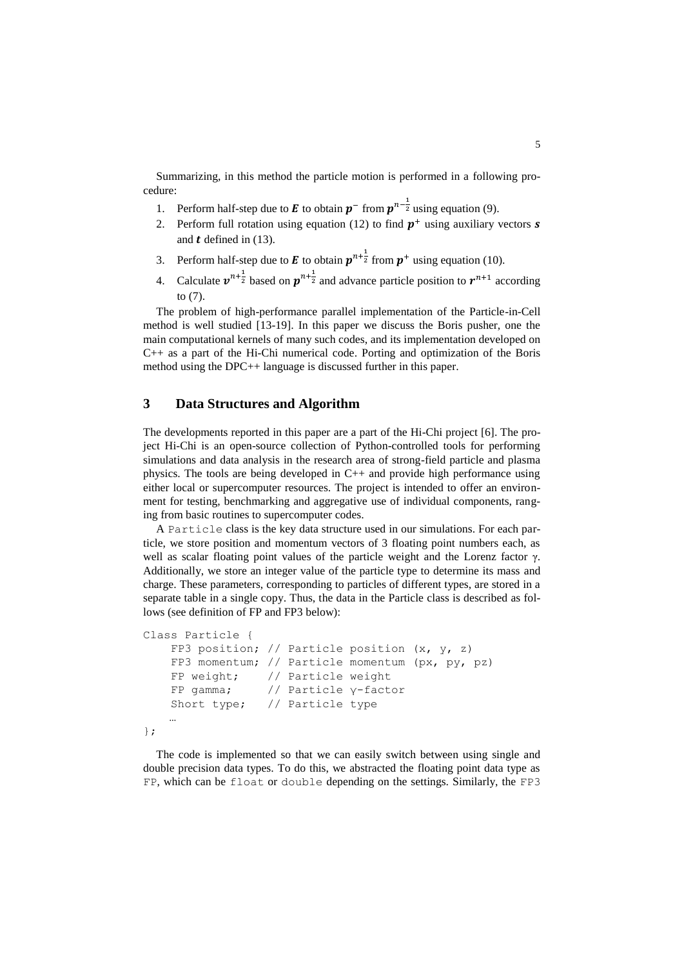Summarizing, in this method the particle motion is performed in a following procedure:

- 1. Perform half-step due to **E** to obtain  $p^{-}$  from  $p^{n-\frac{1}{2}}$  using equation (9).
- 2. Perform full rotation using equation (12) to find  $p^+$  using auxiliary vectors s and  $t$  defined in (13).
- 3. Perform half-step due to **E** to obtain  $p^{n+\frac{1}{2}}$  from  $p^+$  using equation (10).
- 4. Calculate  $v^{n+\frac{1}{2}}$  based on  $p^{n+\frac{1}{2}}$  and advance particle position to  $r^{n+1}$  according to (7).

The problem of high-performance parallel implementation of the Particle-in-Cell method is well studied [13-19]. In this paper we discuss the Boris pusher, one the main computational kernels of many such codes, and its implementation developed on C++ as a part of the Hi-Chi numerical code. Porting and optimization of the Boris method using the DPC++ language is discussed further in this paper.

### **3 Data Structures and Algorithm**

The developments reported in this paper are a part of the Hi-Chi project [6]. The project Hi-Chi is an open-source collection of Python-controlled tools for performing simulations and data analysis in the research area of strong-field particle and plasma physics. The tools are being developed in C++ and provide high performance using either local or supercomputer resources. The project is intended to offer an environment for testing, benchmarking and aggregative use of individual components, ranging from basic routines to supercomputer codes.

A Particle class is the key data structure used in our simulations. For each particle, we store position and momentum vectors of 3 floating point numbers each, as well as scalar floating point values of the particle weight and the Lorenz factor γ. Additionally, we store an integer value of the particle type to determine its mass and charge. These parameters, corresponding to particles of different types, are stored in a separate table in a single copy. Thus, the data in the Particle class is described as follows (see definition of FP and FP3 below):

```
Class Particle {
    FP3 position; // Particle position (x, y, z)
    FP3 momentum; // Particle momentum (px, py, pz)
    FP weight; // Particle weight
    FP gamma; // Particle γ-factor
     Short type; // Particle type
   …
};
```
The code is implemented so that we can easily switch between using single and double precision data types. To do this, we abstracted the floating point data type as FP, which can be float or double depending on the settings. Similarly, the FP3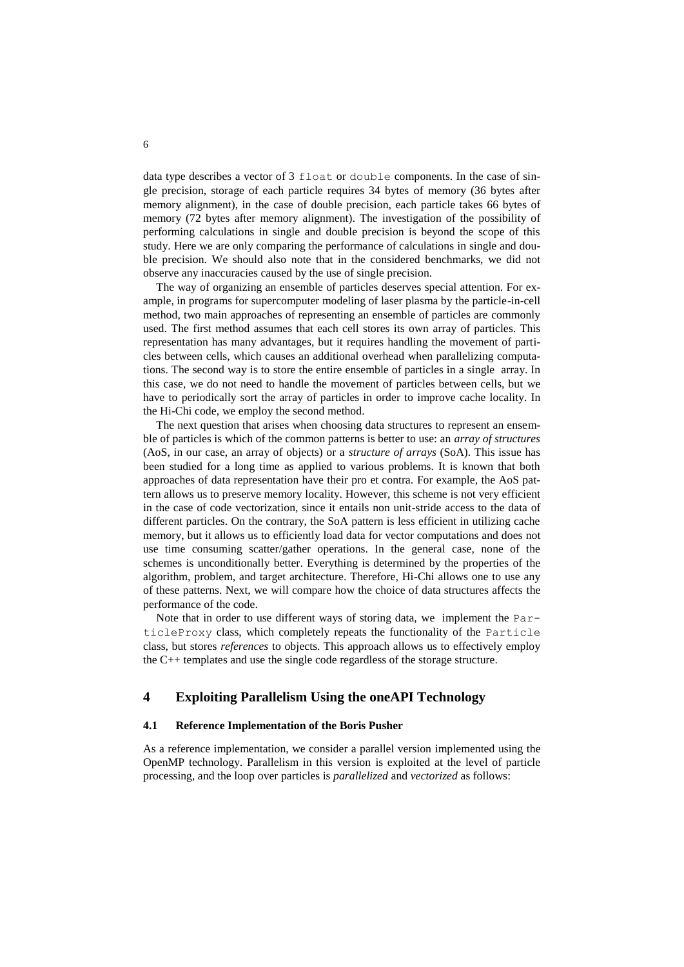data type describes a vector of 3 float or double components. In the case of single precision, storage of each particle requires 34 bytes of memory (36 bytes after memory alignment), in the case of double precision, each particle takes 66 bytes of memory (72 bytes after memory alignment). The investigation of the possibility of performing calculations in single and double precision is beyond the scope of this study. Here we are only comparing the performance of calculations in single and double precision. We should also note that in the considered benchmarks, we did not observe any inaccuracies caused by the use of single precision.

The way of organizing an ensemble of particles deserves special attention. For example, in programs for supercomputer modeling of laser plasma by the particle-in-cell method, two main approaches of representing an ensemble of particles are commonly used. The first method assumes that each cell stores its own array of particles. This representation has many advantages, but it requires handling the movement of particles between cells, which causes an additional overhead when parallelizing computations. The second way is to store the entire ensemble of particles in a single array. In this case, we do not need to handle the movement of particles between cells, but we have to periodically sort the array of particles in order to improve cache locality. In the Hi-Chi code, we employ the second method.

The next question that arises when choosing data structures to represent an ensemble of particles is which of the common patterns is better to use: an *array of structures* (AoS, in our case, an array of objects) or a *structure of arrays* (SoA). This issue has been studied for a long time as applied to various problems. It is known that both approaches of data representation have their pro et contra. For example, the AoS pattern allows us to preserve memory locality. However, this scheme is not very efficient in the case of code vectorization, since it entails non unit-stride access to the data of different particles. On the contrary, the SoA pattern is less efficient in utilizing cache memory, but it allows us to efficiently load data for vector computations and does not use time consuming scatter/gather operations. In the general case, none of the schemes is unconditionally better. Everything is determined by the properties of the algorithm, problem, and target architecture. Therefore, Hi-Chi allows one to use any of these patterns. Next, we will compare how the choice of data structures affects the performance of the code.

Note that in order to use different ways of storing data, we implement the ParticleProxy class, which completely repeats the functionality of the Particle class, but stores *references* to objects. This approach allows us to effectively employ the C++ templates and use the single code regardless of the storage structure.

# **4 Exploiting Parallelism Using the oneAPI Technology**

### **4.1 Reference Implementation of the Boris Pusher**

As a reference implementation, we consider a parallel version implemented using the OpenMP technology. Parallelism in this version is exploited at the level of particle processing, and the loop over particles is *parallelized* and *vectorized* as follows: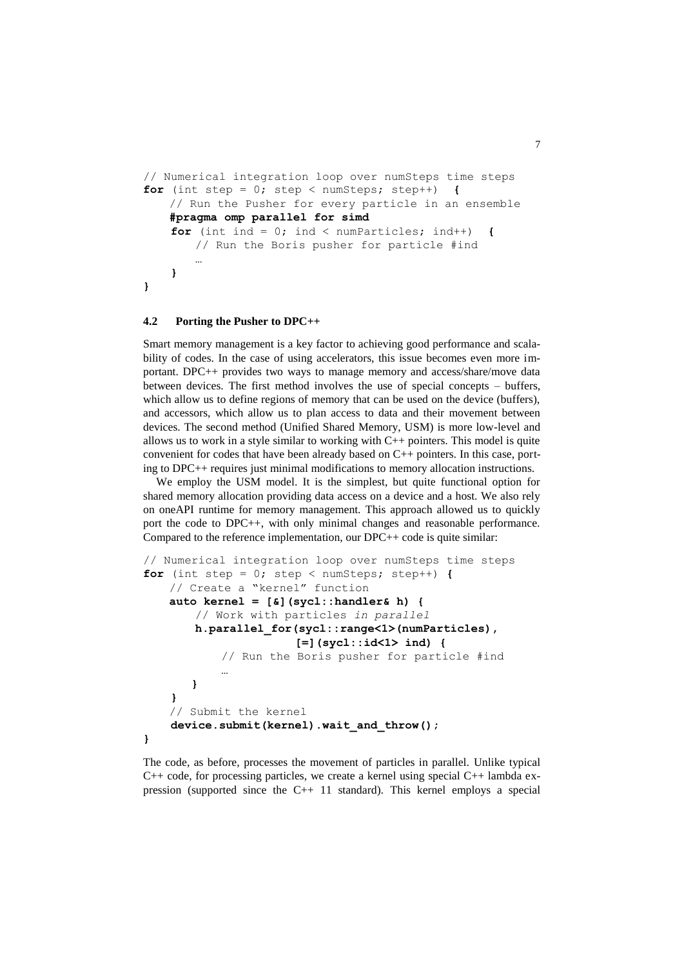```
// Numerical integration loop over numSteps time steps
for (int step = 0; step < numSteps; step++) {
   // Run the Pusher for every particle in an ensemble
   #pragma omp parallel for simd
    for (int ind = 0; ind < numParticles; ind++) {
        // Run the Boris pusher for particle #ind
       …
     }
}
```
### **4.2 Porting the Pusher to DPC++**

Smart memory management is a key factor to achieving good performance and scalability of codes. In the case of using accelerators, this issue becomes even more important. DPC++ provides two ways to manage memory and access/share/move data between devices. The first method involves the use of special concepts – buffers, which allow us to define regions of memory that can be used on the device (buffers). and accessors, which allow us to plan access to data and their movement between devices. The second method (Unified Shared Memory, USM) is more low-level and allows us to work in a style similar to working with C++ pointers. This model is quite convenient for codes that have been already based on C++ pointers. In this case, porting to DPC++ requires just minimal modifications to memory allocation instructions.

We employ the USM model. It is the simplest, but quite functional option for shared memory allocation providing data access on a device and a host. We also rely on oneAPI runtime for memory management. This approach allowed us to quickly port the code to DPC++, with only minimal changes and reasonable performance. Compared to the reference implementation, our DPC++ code is quite similar:

```
// Numerical integration loop over numSteps time steps
for (int step = 0; step < numSteps; step++) {
   // Create a "kernel" function
   auto kernel = [&](sycl::handler& h) {
        // Work with particles in parallel
       h.parallel_for(sycl::range<1>(numParticles),
                        [=](sycl::id<1> ind) {
           // Run the Boris pusher for particle #ind
           …
        }
     }
   // Submit the kernel
    device.submit(kernel).wait_and_throw(); 
}
```
The code, as before, processes the movement of particles in parallel. Unlike typical  $C_{++}$  code, for processing particles, we create a kernel using special  $C_{++}$  lambda expression (supported since the C++ 11 standard). This kernel employs a special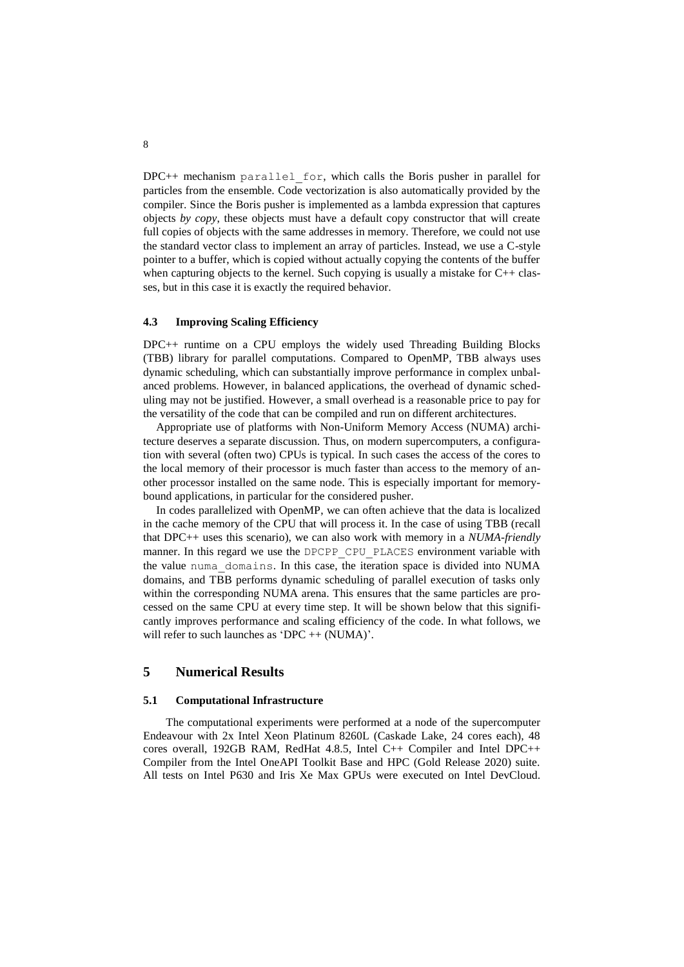$DPC++$  mechanism parallel for, which calls the Boris pusher in parallel for particles from the ensemble. Code vectorization is also automatically provided by the compiler. Since the Boris pusher is implemented as a lambda expression that captures objects *by copy*, these objects must have a default copy constructor that will create full copies of objects with the same addresses in memory. Therefore, we could not use the standard vector class to implement an array of particles. Instead, we use a C-style pointer to a buffer, which is copied without actually copying the contents of the buffer when capturing objects to the kernel. Such copying is usually a mistake for  $C_{++}$  classes, but in this case it is exactly the required behavior.

#### **4.3 Improving Scaling Efficiency**

DPC++ runtime on a CPU employs the widely used Threading Building Blocks (TBB) library for parallel computations. Compared to OpenMP, TBB always uses dynamic scheduling, which can substantially improve performance in complex unbalanced problems. However, in balanced applications, the overhead of dynamic scheduling may not be justified. However, a small overhead is a reasonable price to pay for the versatility of the code that can be compiled and run on different architectures.

Appropriate use of platforms with Non-Uniform Memory Access (NUMA) architecture deserves a separate discussion. Thus, on modern supercomputers, a configuration with several (often two) CPUs is typical. In such cases the access of the cores to the local memory of their processor is much faster than access to the memory of another processor installed on the same node. This is especially important for memorybound applications, in particular for the considered pusher.

In codes parallelized with OpenMP, we can often achieve that the data is localized in the cache memory of the CPU that will process it. In the case of using TBB (recall that DPC++ uses this scenario), we can also work with memory in a *NUMA-friendly* manner. In this regard we use the DPCPP\_CPU\_PLACES environment variable with the value numa\_domains. In this case, the iteration space is divided into NUMA domains, and TBB performs dynamic scheduling of parallel execution of tasks only within the corresponding NUMA arena. This ensures that the same particles are processed on the same CPU at every time step. It will be shown below that this significantly improves performance and scaling efficiency of the code. In what follows, we will refer to such launches as 'DPC ++ (NUMA)'.

# **5 Numerical Results**

### **5.1 Computational Infrastructure**

The computational experiments were performed at a node of the supercomputer Endeavour with 2x Intel Xeon Platinum 8260L (Caskade Lake, 24 cores each), 48 cores overall, 192GB RAM, RedHat 4.8.5, Intel C++ Compiler and Intel DPC++ Compiler from the Intel OneAPI Toolkit Base and HPC (Gold Release 2020) suite. All tests on Intel P630 and Iris Xe Max GPUs were executed on Intel DevCloud.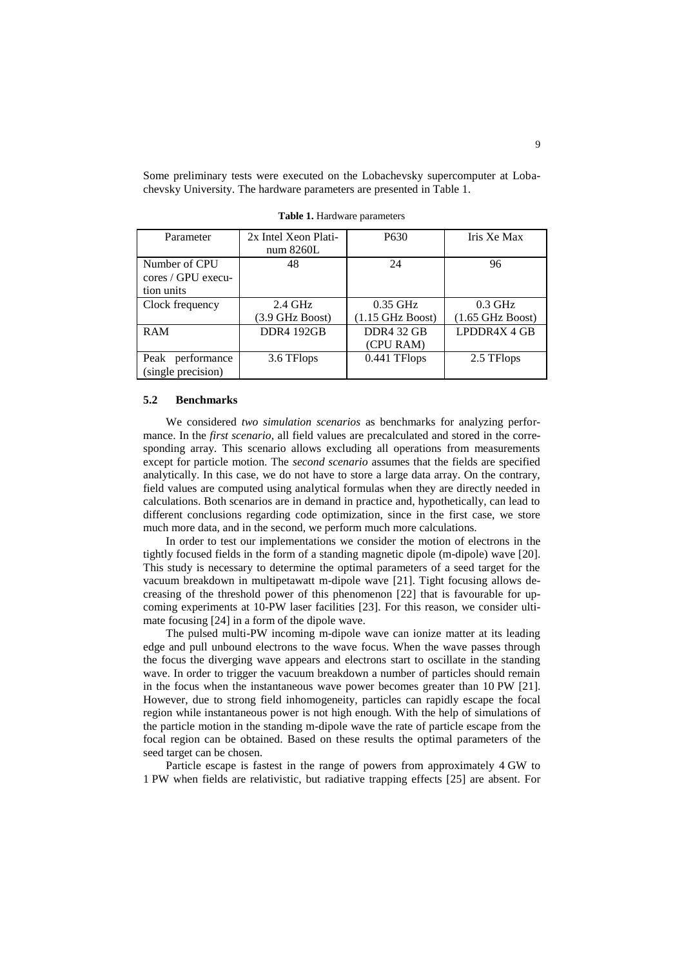Some preliminary tests were executed on the Lobachevsky supercomputer at Lobachevsky University. The hardware parameters are presented in Table 1.

| Parameter                                         | 2x Intel Xeon Plati-<br>num $8260L$ | P <sub>630</sub>                 | Iris Xe Max                     |
|---------------------------------------------------|-------------------------------------|----------------------------------|---------------------------------|
| Number of CPU<br>cores / GPU execu-<br>tion units | 48                                  | 24                               | 96                              |
| Clock frequency                                   | $2.4$ GHz<br>$(3.9$ GHz Boost)      | $0.35$ GHz<br>$(1.15$ GHz Boost) | $0.3$ GHz<br>$(1.65$ GHz Boost) |
| <b>RAM</b>                                        | <b>DDR4 192GB</b>                   | <b>DDR4 32 GB</b><br>(CPU RAM)   | LPDDR4X 4 GB                    |
| Peak performance<br>(single precision)            | 3.6 TFlops                          | 0.441 TFlops                     | 2.5 TFlops                      |

**Table 1.** Hardware parameters

### **5.2 Benchmarks**

We considered *two simulation scenarios* as benchmarks for analyzing performance. In the *first scenario*, all field values are precalculated and stored in the corresponding array. This scenario allows excluding all operations from measurements except for particle motion. The *second scenario* assumes that the fields are specified analytically. In this case, we do not have to store a large data array. On the contrary, field values are computed using analytical formulas when they are directly needed in calculations. Both scenarios are in demand in practice and, hypothetically, can lead to different conclusions regarding code optimization, since in the first case, we store much more data, and in the second, we perform much more calculations.

In order to test our implementations we consider the motion of electrons in the tightly focused fields in the form of a standing magnetic dipole (m-dipole) wave [20]. This study is necessary to determine the optimal parameters of a seed target for the vacuum breakdown in multipetawatt m-dipole wave [21]. Tight focusing allows decreasing of the threshold power of this phenomenon [22] that is favourable for upcoming experiments at 10-PW laser facilities [23]. For this reason, we consider ultimate focusing [24] in a form of the dipole wave.

The pulsed multi-PW incoming m-dipole wave can ionize matter at its leading edge and pull unbound electrons to the wave focus. When the wave passes through the focus the diverging wave appears and electrons start to oscillate in the standing wave. In order to trigger the vacuum breakdown a number of particles should remain in the focus when the instantaneous wave power becomes greater than 10 PW [21]. However, due to strong field inhomogeneity, particles can rapidly escape the focal region while instantaneous power is not high enough. With the help of simulations of the particle motion in the standing m-dipole wave the rate of particle escape from the focal region can be obtained. Based on these results the optimal parameters of the seed target can be chosen.

Particle escape is fastest in the range of powers from approximately 4 GW to 1 PW when fields are relativistic, but radiative trapping effects [25] are absent. For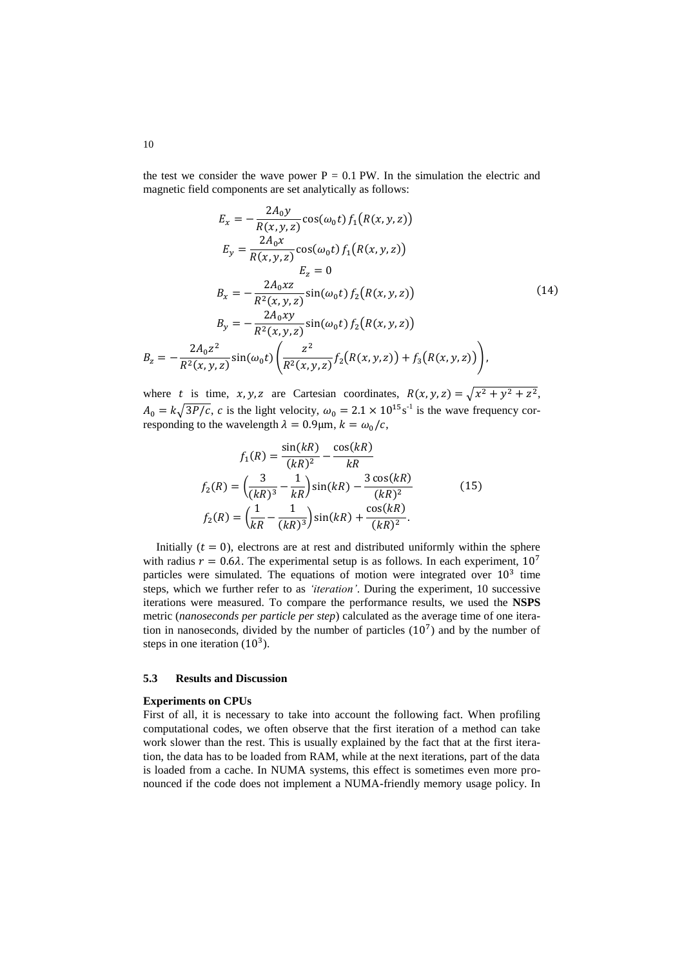the test we consider the wave power  $P = 0.1$  PW. In the simulation the electric and magnetic field components are set analytically as follows:

$$
E_x = -\frac{2A_0y}{R(x, y, z)} \cos(\omega_0 t) f_1(R(x, y, z))
$$
  
\n
$$
E_y = \frac{2A_0x}{R(x, y, z)} \cos(\omega_0 t) f_1(R(x, y, z))
$$
  
\n
$$
E_z = 0
$$
  
\n
$$
B_x = -\frac{2A_0xz}{R^2(x, y, z)} \sin(\omega_0 t) f_2(R(x, y, z))
$$
  
\n
$$
B_y = -\frac{2A_0xy}{R^2(x, y, z)} \sin(\omega_0 t) f_2(R(x, y, z))
$$
  
\n
$$
B_z = -\frac{2A_0z^2}{R^2(x, y, z)} \sin(\omega_0 t) \left(\frac{z^2}{R^2(x, y, z)} f_2(R(x, y, z)) + f_3(R(x, y, z))\right),
$$
\n(14)

where t is time,  $x, y, z$  are Cartesian coordinates,  $R(x, y, z) = \sqrt{x^2 + y^2 + z^2}$ ,  $A_0 = k\sqrt{3P/c}$ , c is the light velocity,  $\omega_0 = 2.1 \times 10^{15} \text{s}^{-1}$  is the wave frequency corresponding to the wavelength  $\lambda = 0.9 \mu m$ ,  $k = \omega_0/c$ ,

$$
f_1(R) = \frac{\sin(kR)}{(kR)^2} - \frac{\cos(kR)}{kR}
$$

$$
f_2(R) = \left(\frac{3}{(kR)^3} - \frac{1}{kR}\right) \sin(kR) - \frac{3\cos(kR)}{(kR)^2}
$$

$$
f_2(R) = \left(\frac{1}{kR} - \frac{1}{(kR)^3}\right) \sin(kR) + \frac{\cos(kR)}{(kR)^2}.
$$
(15)

Initially  $(t = 0)$ , electrons are at rest and distributed uniformly within the sphere with radius  $r = 0.6\lambda$ . The experimental setup is as follows. In each experiment,  $10^7$ particles were simulated. The equations of motion were integrated over  $10<sup>3</sup>$  time steps, which we further refer to as *'iteration'*. During the experiment, 10 successive iterations were measured. To compare the performance results, we used the **NSPS** metric (*nanoseconds per particle per step*) calculated as the average time of one iteration in nanoseconds, divided by the number of particles  $(10<sup>7</sup>)$  and by the number of steps in one iteration  $(10^3)$ .

### **5.3 Results and Discussion**

#### **Experiments on CPUs**

First of all, it is necessary to take into account the following fact. When profiling computational codes, we often observe that the first iteration of a method can take work slower than the rest. This is usually explained by the fact that at the first iteration, the data has to be loaded from RAM, while at the next iterations, part of the data is loaded from a cache. In NUMA systems, this effect is sometimes even more pronounced if the code does not implement a NUMA-friendly memory usage policy. In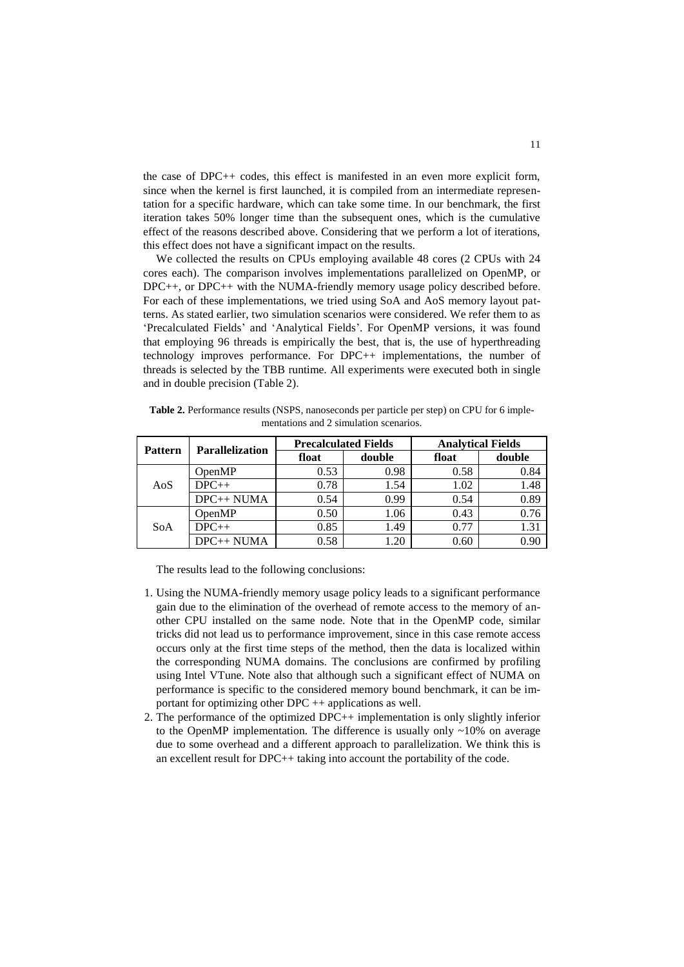the case of DPC++ codes, this effect is manifested in an even more explicit form, since when the kernel is first launched, it is compiled from an intermediate representation for a specific hardware, which can take some time. In our benchmark, the first iteration takes 50% longer time than the subsequent ones, which is the cumulative effect of the reasons described above. Considering that we perform a lot of iterations, this effect does not have a significant impact on the results.

We collected the results on CPUs employing available 48 cores (2 CPUs with 24 cores each). The comparison involves implementations parallelized on OpenMP, or DPC++, or DPC++ with the NUMA-friendly memory usage policy described before. For each of these implementations, we tried using SoA and AoS memory layout patterns. As stated earlier, two simulation scenarios were considered. We refer them to as 'Precalculated Fields' and 'Analytical Fields'. For OpenMP versions, it was found that employing 96 threads is empirically the best, that is, the use of hyperthreading technology improves performance. For DPC++ implementations, the number of threads is selected by the TBB runtime. All experiments were executed both in single and in double precision (Table 2).

| <b>Pattern</b> | <b>Parallelization</b> | <b>Precalculated Fields</b> |        | <b>Analytical Fields</b> |        |
|----------------|------------------------|-----------------------------|--------|--------------------------|--------|
|                |                        | float                       | double | float                    | double |
| AoS            | OpenMP                 | 0.53                        | 0.98   | 0.58                     | 0.84   |
|                | $DPC++$                | 0.78                        | 1.54   | 1.02                     | 1.48   |
|                | DPC++ NUMA             | 0.54                        | 0.99   | 0.54                     | 0.89   |
| SoA            | OpenMP                 | 0.50                        | 1.06   | 0.43                     | 0.76   |
|                | $DPC++$                | 0.85                        | 1.49   | 0.77                     | 1.31   |
|                | $DPC++NUMA$            | 0.58                        | 1.20   | 0.60                     | 0.90   |

**Table 2.** Performance results (NSPS, nanoseconds per particle per step) on CPU for 6 implementations and 2 simulation scenarios.

The results lead to the following conclusions:

- 1. Using the NUMA-friendly memory usage policy leads to a significant performance gain due to the elimination of the overhead of remote access to the memory of another CPU installed on the same node. Note that in the OpenMP code, similar tricks did not lead us to performance improvement, since in this case remote access occurs only at the first time steps of the method, then the data is localized within the corresponding NUMA domains. The conclusions are confirmed by profiling using Intel VTune. Note also that although such a significant effect of NUMA on performance is specific to the considered memory bound benchmark, it can be important for optimizing other DPC ++ applications as well.
- 2. The performance of the optimized DPC++ implementation is only slightly inferior to the OpenMP implementation. The difference is usually only ~10% on average due to some overhead and a different approach to parallelization. We think this is an excellent result for DPC++ taking into account the portability of the code.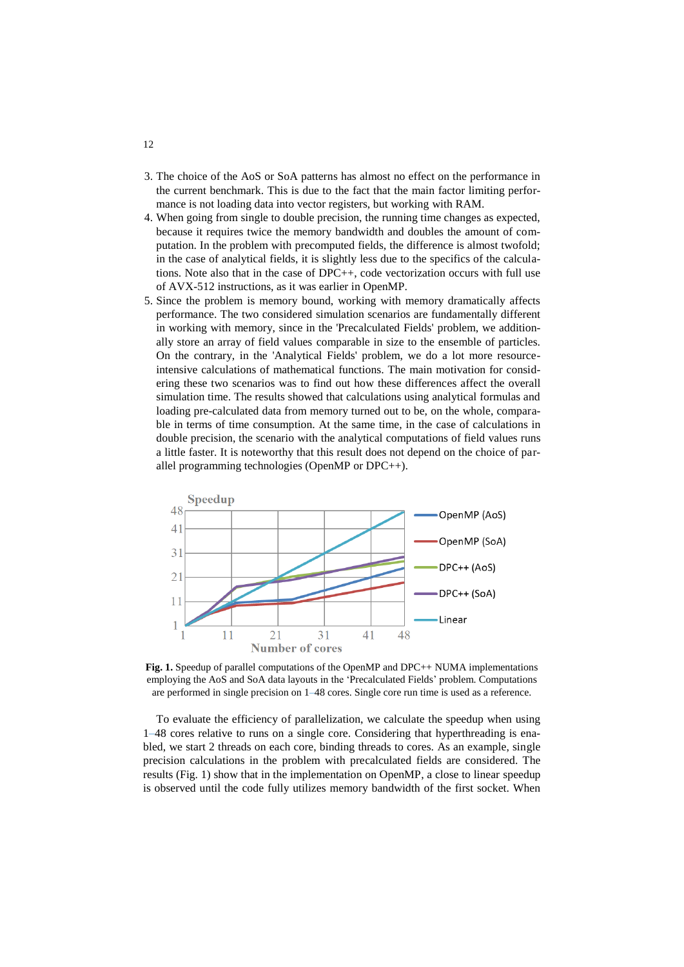- 3. The choice of the AoS or SoA patterns has almost no effect on the performance in the current benchmark. This is due to the fact that the main factor limiting performance is not loading data into vector registers, but working with RAM.
- 4. When going from single to double precision, the running time changes as expected, because it requires twice the memory bandwidth and doubles the amount of computation. In the problem with precomputed fields, the difference is almost twofold; in the case of analytical fields, it is slightly less due to the specifics of the calculations. Note also that in the case of DPC++, code vectorization occurs with full use of AVX-512 instructions, as it was earlier in OpenMP.
- 5. Since the problem is memory bound, working with memory dramatically affects performance. The two considered simulation scenarios are fundamentally different in working with memory, since in the 'Precalculated Fields' problem, we additionally store an array of field values comparable in size to the ensemble of particles. On the contrary, in the 'Analytical Fields' problem, we do a lot more resourceintensive calculations of mathematical functions. The main motivation for considering these two scenarios was to find out how these differences affect the overall simulation time. The results showed that calculations using analytical formulas and loading pre-calculated data from memory turned out to be, on the whole, comparable in terms of time consumption. At the same time, in the case of calculations in double precision, the scenario with the analytical computations of field values runs a little faster. It is noteworthy that this result does not depend on the choice of parallel programming technologies (OpenMP or DPC++).



**Fig. 1.** Speedup of parallel computations of the OpenMP and DPC++ NUMA implementations employing the AoS and SoA data layouts in the 'Precalculated Fields' problem. Computations are performed in single precision on 1–48 cores. Single core run time is used as a reference.

To evaluate the efficiency of parallelization, we calculate the speedup when using 1–48 cores relative to runs on a single core. Considering that hyperthreading is enabled, we start 2 threads on each core, binding threads to cores. As an example, single precision calculations in the problem with precalculated fields are considered. The results (Fig. 1) show that in the implementation on OpenMP, a close to linear speedup is observed until the code fully utilizes memory bandwidth of the first socket. When

12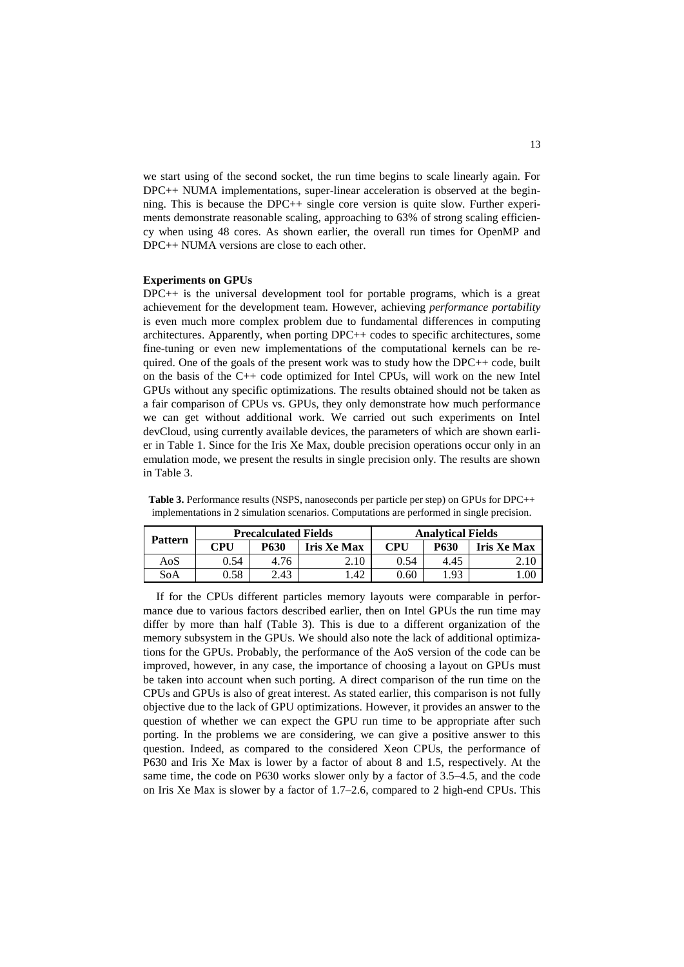we start using of the second socket, the run time begins to scale linearly again. For DPC++ NUMA implementations, super-linear acceleration is observed at the beginning. This is because the DPC++ single core version is quite slow. Further experiments demonstrate reasonable scaling, approaching to 63% of strong scaling efficiency when using 48 cores. As shown earlier, the overall run times for OpenMP and DPC++ NUMA versions are close to each other.

#### **Experiments on GPUs**

DPC++ is the universal development tool for portable programs, which is a great achievement for the development team. However, achieving *performance portability* is even much more complex problem due to fundamental differences in computing architectures. Apparently, when porting DPC++ codes to specific architectures, some fine-tuning or even new implementations of the computational kernels can be required. One of the goals of the present work was to study how the DPC++ code, built on the basis of the C++ code optimized for Intel CPUs, will work on the new Intel GPUs without any specific optimizations. The results obtained should not be taken as a fair comparison of CPUs vs. GPUs, they only demonstrate how much performance we can get without additional work. We carried out such experiments on Intel devCloud, using currently available devices, the parameters of which are shown earlier in Table 1. Since for the Iris Xe Max, double precision operations occur only in an emulation mode, we present the results in single precision only. The results are shown in Table 3.

| <b>Pattern</b> | <b>Precalculated Fields</b> |      |                    | <b>Analytical Fields</b> |             |                    |
|----------------|-----------------------------|------|--------------------|--------------------------|-------------|--------------------|
|                | CPU                         | P630 | <b>Iris Xe Max</b> | CPU                      | <b>P630</b> | <b>Iris Xe Max</b> |
| AoS            | ).54                        | 4.76 | 2.10               | 0.54                     | 4.45        |                    |
| SoA            | ).58                        | 2.43 | .42                | 0.60                     | .93         | .00                |

**Table 3.** Performance results (NSPS, nanoseconds per particle per step) on GPUs for DPC++ implementations in 2 simulation scenarios. Computations are performed in single precision.

If for the CPUs different particles memory layouts were comparable in performance due to various factors described earlier, then on Intel GPUs the run time may differ by more than half (Table 3). This is due to a different organization of the memory subsystem in the GPUs. We should also note the lack of additional optimizations for the GPUs. Probably, the performance of the AoS version of the code can be improved, however, in any case, the importance of choosing a layout on GPUs must be taken into account when such porting. A direct comparison of the run time on the CPUs and GPUs is also of great interest. As stated earlier, this comparison is not fully objective due to the lack of GPU optimizations. However, it provides an answer to the question of whether we can expect the GPU run time to be appropriate after such porting. In the problems we are considering, we can give a positive answer to this question. Indeed, as compared to the considered Xeon CPUs, the performance of P630 and Iris Xe Max is lower by a factor of about 8 and 1.5, respectively. At the same time, the code on P630 works slower only by a factor of 3.5–4.5, and the code on Iris Xe Max is slower by a factor of 1.7–2.6, compared to 2 high-end CPUs. This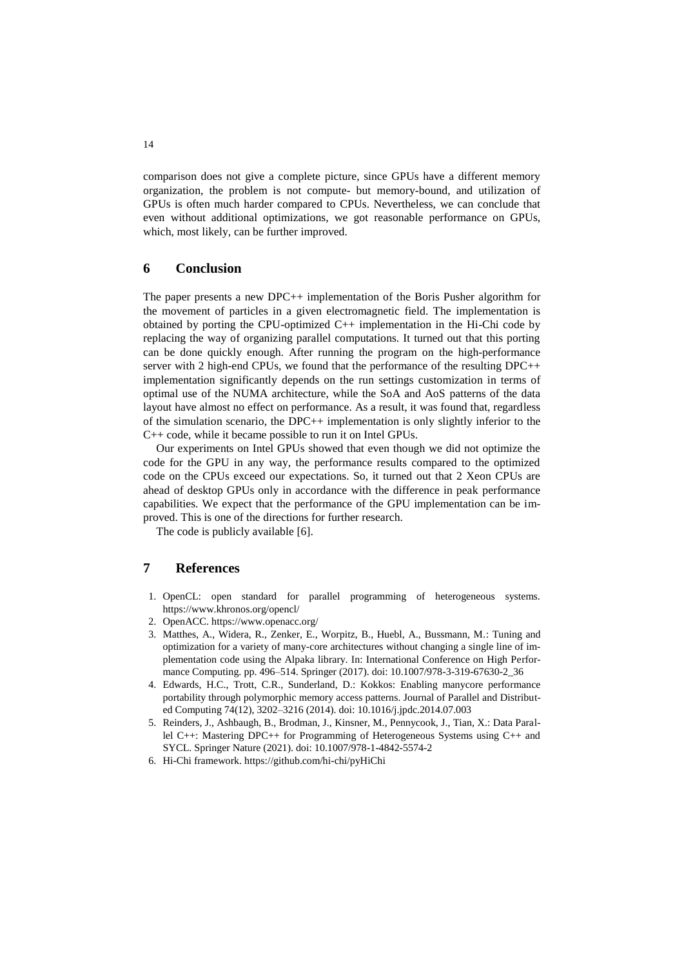comparison does not give a complete picture, since GPUs have a different memory organization, the problem is not compute- but memory-bound, and utilization of GPUs is often much harder compared to CPUs. Nevertheless, we can conclude that even without additional optimizations, we got reasonable performance on GPUs, which, most likely, can be further improved.

### **6 Conclusion**

The paper presents a new DPC++ implementation of the Boris Pusher algorithm for the movement of particles in a given electromagnetic field. The implementation is obtained by porting the CPU-optimized C++ implementation in the Hi-Chi code by replacing the way of organizing parallel computations. It turned out that this porting can be done quickly enough. After running the program on the high-performance server with 2 high-end CPUs, we found that the performance of the resulting DPC++ implementation significantly depends on the run settings customization in terms of optimal use of the NUMA architecture, while the SoA and AoS patterns of the data layout have almost no effect on performance. As a result, it was found that, regardless of the simulation scenario, the DPC++ implementation is only slightly inferior to the C++ code, while it became possible to run it on Intel GPUs.

Our experiments on Intel GPUs showed that even though we did not optimize the code for the GPU in any way, the performance results compared to the optimized code on the CPUs exceed our expectations. So, it turned out that 2 Xeon CPUs are ahead of desktop GPUs only in accordance with the difference in peak performance capabilities. We expect that the performance of the GPU implementation can be improved. This is one of the directions for further research.

The code is publicly available [6].

### **7 References**

- 1. OpenCL: open standard for parallel programming of heterogeneous systems. https://www.khronos.org/opencl/
- 2. OpenACC. https://www.openacc.org/
- 3. Matthes, A., Widera, R., Zenker, E., Worpitz, B., Huebl, A., Bussmann, M.: Tuning and optimization for a variety of many-core architectures without changing a single line of implementation code using the Alpaka library. In: International Conference on High Performance Computing. pp. 496–514. Springer (2017). doi: 10.1007/978-3-319-67630-2\_36
- 4. Edwards, H.C., Trott, C.R., Sunderland, D.: Kokkos: Enabling manycore performance portability through polymorphic memory access patterns. Journal of Parallel and Distributed Computing 74(12), 3202–3216 (2014). doi: 10.1016/j.jpdc.2014.07.003
- 5. Reinders, J., Ashbaugh, B., Brodman, J., Kinsner, M., Pennycook, J., Tian, X.: Data Parallel C++: Mastering DPC++ for Programming of Heterogeneous Systems using C++ and SYCL. Springer Nature (2021). doi: 10.1007/978-1-4842-5574-2
- 6. Hi-Chi framework. https://github.com/hi-chi/pyHiChi